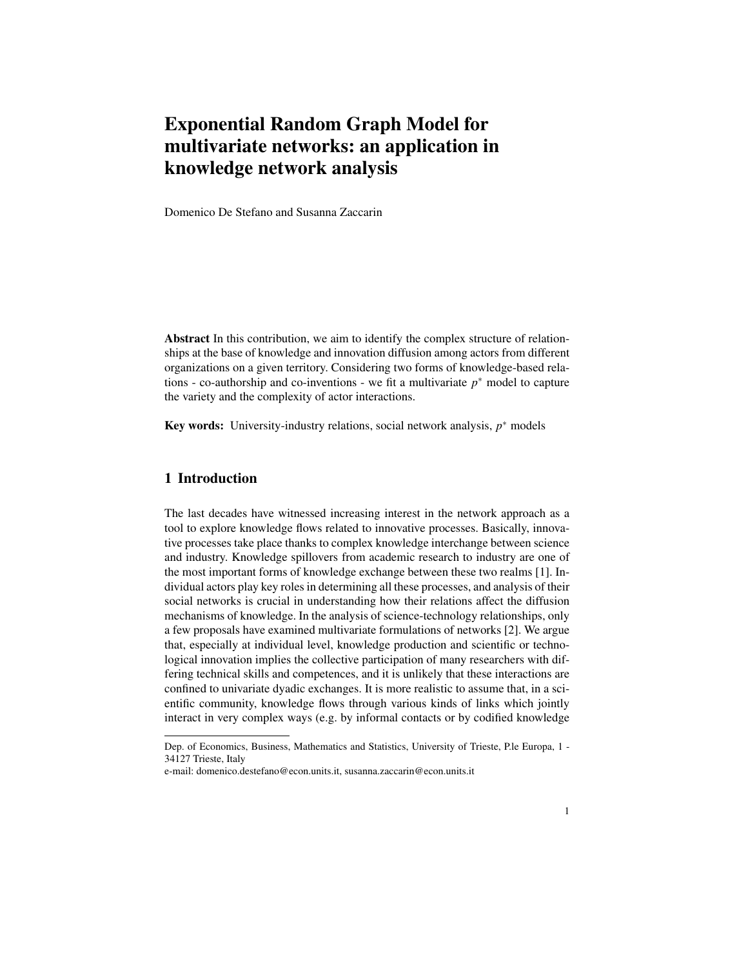# Exponential Random Graph Model for multivariate networks: an application in knowledge network analysis

Domenico De Stefano and Susanna Zaccarin

Abstract In this contribution, we aim to identify the complex structure of relationships at the base of knowledge and innovation diffusion among actors from different organizations on a given territory. Considering two forms of knowledge-based relations - co-authorship and co-inventions - we fit a multivariate  $p^*$  model to capture the variety and the complexity of actor interactions.

Key words: University-industry relations, social network analysis, p<sup>∗</sup> models

### 1 Introduction

The last decades have witnessed increasing interest in the network approach as a tool to explore knowledge flows related to innovative processes. Basically, innovative processes take place thanks to complex knowledge interchange between science and industry. Knowledge spillovers from academic research to industry are one of the most important forms of knowledge exchange between these two realms [1]. Individual actors play key roles in determining all these processes, and analysis of their social networks is crucial in understanding how their relations affect the diffusion mechanisms of knowledge. In the analysis of science-technology relationships, only a few proposals have examined multivariate formulations of networks [2]. We argue that, especially at individual level, knowledge production and scientific or technological innovation implies the collective participation of many researchers with differing technical skills and competences, and it is unlikely that these interactions are confined to univariate dyadic exchanges. It is more realistic to assume that, in a scientific community, knowledge flows through various kinds of links which jointly interact in very complex ways (e.g. by informal contacts or by codified knowledge

Dep. of Economics, Business, Mathematics and Statistics, University of Trieste, P.le Europa, 1 - 34127 Trieste, Italy

e-mail: domenico.destefano@econ.units.it, susanna.zaccarin@econ.units.it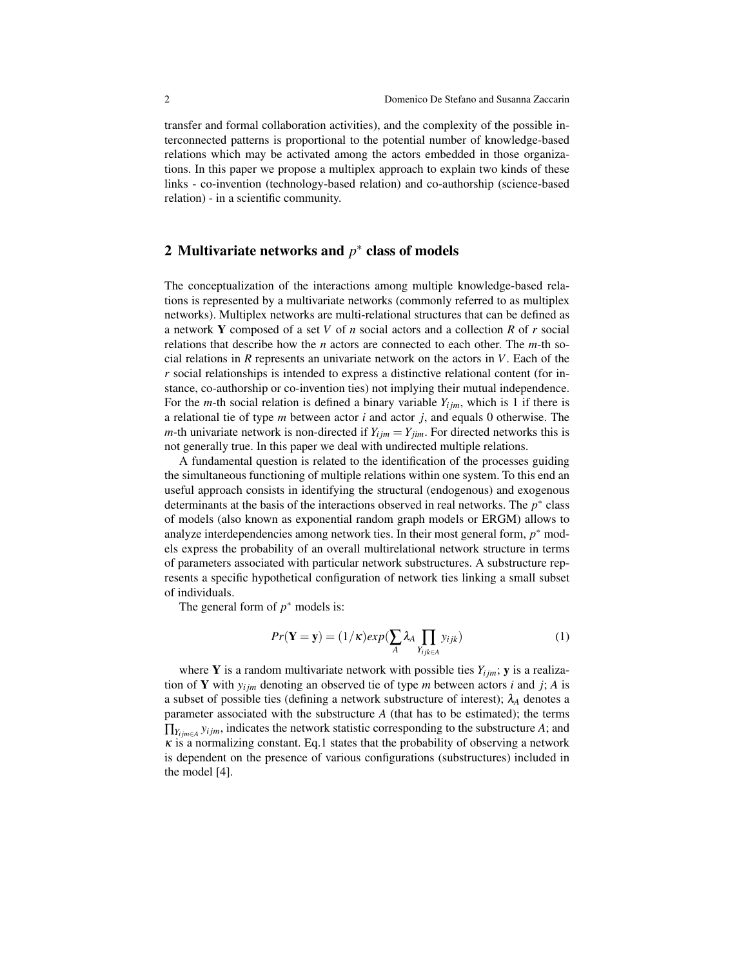transfer and formal collaboration activities), and the complexity of the possible interconnected patterns is proportional to the potential number of knowledge-based relations which may be activated among the actors embedded in those organizations. In this paper we propose a multiplex approach to explain two kinds of these links - co-invention (technology-based relation) and co-authorship (science-based relation) - in a scientific community.

## 2 Multivariate networks and  $p^*$  class of models

The conceptualization of the interactions among multiple knowledge-based relations is represented by a multivariate networks (commonly referred to as multiplex networks). Multiplex networks are multi-relational structures that can be defined as a network Y composed of a set *V* of *n* social actors and a collection *R* of *r* social relations that describe how the *n* actors are connected to each other. The *m*-th social relations in *R* represents an univariate network on the actors in *V*. Each of the *r* social relationships is intended to express a distinctive relational content (for instance, co-authorship or co-invention ties) not implying their mutual independence. For the *m*-th social relation is defined a binary variable  $Y_{ijm}$ , which is 1 if there is a relational tie of type *m* between actor *i* and actor *j*, and equals 0 otherwise. The *m*-th univariate network is non-directed if  $Y_{ijm} = Y_{jim}$ . For directed networks this is not generally true. In this paper we deal with undirected multiple relations.

A fundamental question is related to the identification of the processes guiding the simultaneous functioning of multiple relations within one system. To this end an useful approach consists in identifying the structural (endogenous) and exogenous determinants at the basis of the interactions observed in real networks. The  $p^*$  class of models (also known as exponential random graph models or ERGM) allows to analyze interdependencies among network ties. In their most general form,  $p^*$  models express the probability of an overall multirelational network structure in terms of parameters associated with particular network substructures. A substructure represents a specific hypothetical configuration of network ties linking a small subset of individuals.

The general form of  $p^*$  models is:

$$
Pr(\mathbf{Y} = \mathbf{y}) = (1/\kappa)exp(\sum_{A} \lambda_A \prod_{Y_{ijk} \in A} y_{ijk})
$$
\n(1)

where **Y** is a random multivariate network with possible ties  $Y_{ijm}$ ; **y** is a realization of Y with  $y_{ijm}$  denoting an observed tie of type *m* between actors *i* and *j*; *A* is a subset of possible ties (defining a network substructure of interest);  $\lambda_A$  denotes a parameter associated with the substructure *A* (that has to be estimated); the terms ∏*Yi jm*∈*<sup>A</sup> yi jm*, indicates the network statistic corresponding to the substructure *A*; and  $\kappa$  is a normalizing constant. Eq.1 states that the probability of observing a network is dependent on the presence of various configurations (substructures) included in the model [4].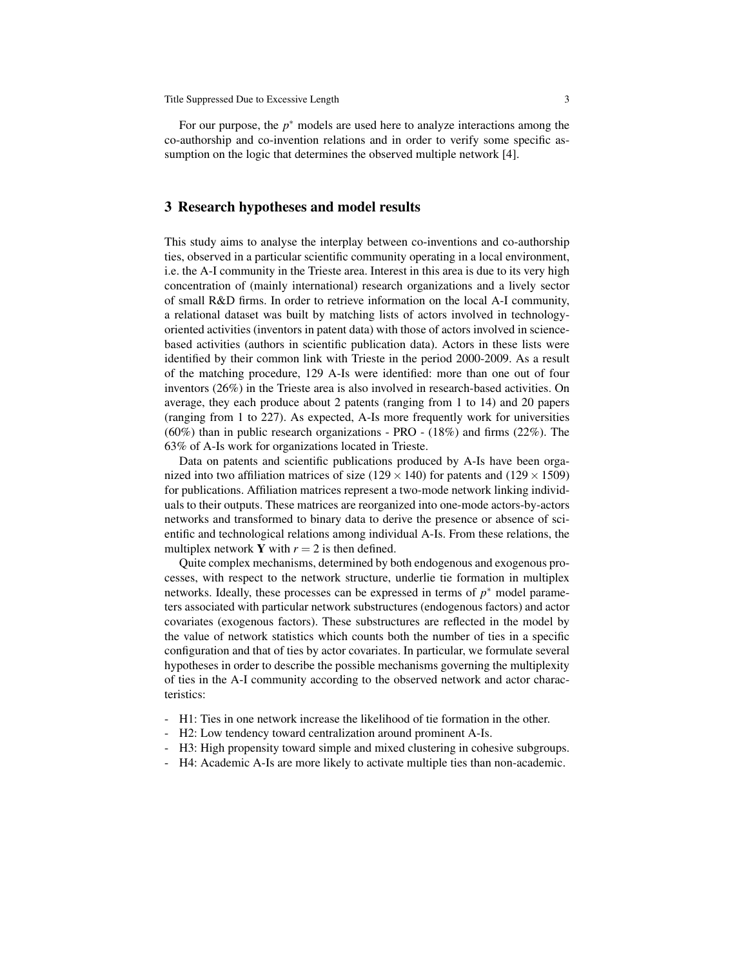Title Suppressed Due to Excessive Length 3

For our purpose, the *p* <sup>∗</sup> models are used here to analyze interactions among the co-authorship and co-invention relations and in order to verify some specific assumption on the logic that determines the observed multiple network [4].

#### 3 Research hypotheses and model results

This study aims to analyse the interplay between co-inventions and co-authorship ties, observed in a particular scientific community operating in a local environment, i.e. the A-I community in the Trieste area. Interest in this area is due to its very high concentration of (mainly international) research organizations and a lively sector of small R&D firms. In order to retrieve information on the local A-I community, a relational dataset was built by matching lists of actors involved in technologyoriented activities (inventors in patent data) with those of actors involved in sciencebased activities (authors in scientific publication data). Actors in these lists were identified by their common link with Trieste in the period 2000-2009. As a result of the matching procedure, 129 A-Is were identified: more than one out of four inventors (26%) in the Trieste area is also involved in research-based activities. On average, they each produce about 2 patents (ranging from 1 to 14) and 20 papers (ranging from 1 to 227). As expected, A-Is more frequently work for universities  $(60\%)$  than in public research organizations - PRO -  $(18\%)$  and firms  $(22\%)$ . The 63% of A-Is work for organizations located in Trieste.

Data on patents and scientific publications produced by A-Is have been organized into two affiliation matrices of size ( $129 \times 140$ ) for patents and ( $129 \times 1509$ ) for publications. Affiliation matrices represent a two-mode network linking individuals to their outputs. These matrices are reorganized into one-mode actors-by-actors networks and transformed to binary data to derive the presence or absence of scientific and technological relations among individual A-Is. From these relations, the multiplex network **Y** with  $r = 2$  is then defined.

Quite complex mechanisms, determined by both endogenous and exogenous processes, with respect to the network structure, underlie tie formation in multiplex networks. Ideally, these processes can be expressed in terms of  $p^*$  model parameters associated with particular network substructures (endogenous factors) and actor covariates (exogenous factors). These substructures are reflected in the model by the value of network statistics which counts both the number of ties in a specific configuration and that of ties by actor covariates. In particular, we formulate several hypotheses in order to describe the possible mechanisms governing the multiplexity of ties in the A-I community according to the observed network and actor characteristics:

- H1: Ties in one network increase the likelihood of tie formation in the other.
- H2: Low tendency toward centralization around prominent A-Is.
- H3: High propensity toward simple and mixed clustering in cohesive subgroups.
- H4: Academic A-Is are more likely to activate multiple ties than non-academic.